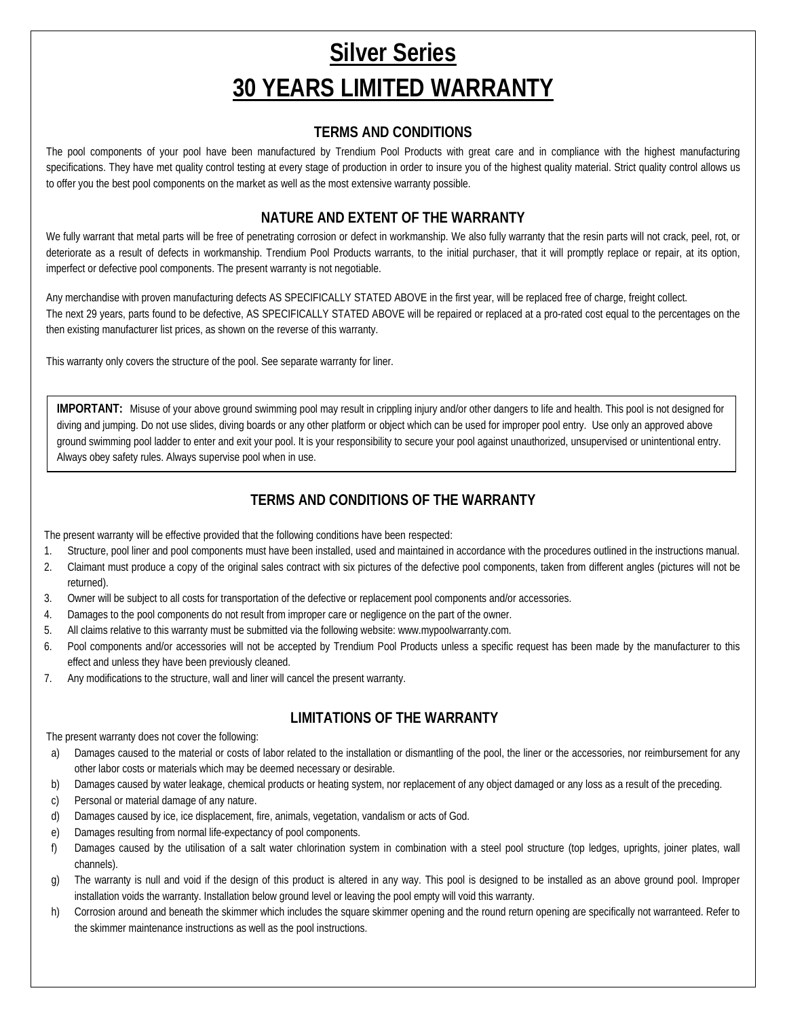# **Silver Series 30 YEARS LIMITED WARRANTY**

#### **TERMS AND CONDITIONS**

The pool components of your pool have been manufactured by Trendium Pool Products with great care and in compliance with the highest manufacturing specifications. They have met quality control testing at every stage of production in order to insure you of the highest quality material. Strict quality control allows us to offer you the best pool components on the market as well as the most extensive warranty possible.

#### **NATURE AND EXTENT OF THE WARRANTY**

We fully warrant that metal parts will be free of penetrating corrosion or defect in workmanship. We also fully warranty that the resin parts will not crack, peel, rot, or deteriorate as a result of defects in workmanship. Trendium Pool Products warrants, to the initial purchaser, that it will promptly replace or repair, at its option, imperfect or defective pool components. The present warranty is not negotiable.

Any merchandise with proven manufacturing defects AS SPECIFICALLY STATED ABOVE in the first year, will be replaced free of charge, freight collect. The next 29 years, parts found to be defective, AS SPECIFICALLY STATED ABOVE will be repaired or replaced at a pro-rated cost equal to the percentages on the then existing manufacturer list prices, as shown on the reverse of this warranty.

This warranty only covers the structure of the pool. See separate warranty for liner.

**IMPORTANT:** Misuse of your above ground swimming pool may result in crippling injury and/or other dangers to life and health. This pool is not designed for diving and jumping. Do not use slides, diving boards or any other platform or object which can be used for improper pool entry. Use only an approved above ground swimming pool ladder to enter and exit your pool. It is your responsibility to secure your pool against unauthorized, unsupervised or unintentional entry. Always obey safety rules. Always supervise pool when in use.

#### **TERMS AND CONDITIONS OF THE WARRANTY**

The present warranty will be effective provided that the following conditions have been respected:

- 1. Structure, pool liner and pool components must have been installed, used and maintained in accordance with the procedures outlined in the instructions manual.
- 2. Claimant must produce a copy of the original sales contract with six pictures of the defective pool components, taken from different angles (pictures will not be returned).
- 3. Owner will be subject to all costs for transportation of the defective or replacement pool components and/or accessories.
- 4. Damages to the pool components do not result from improper care or negligence on the part of the owner.
- 5. All claims relative to this warranty must be submitted via the following website: www.mypoolwarranty.com.
- 6. Pool components and/or accessories will not be accepted by Trendium Pool Products unless a specific request has been made by the manufacturer to this effect and unless they have been previously cleaned.
- 7. Any modifications to the structure, wall and liner will cancel the present warranty.

#### **LIMITATIONS OF THE WARRANTY**

The present warranty does not cover the following:

- a) Damages caused to the material or costs of labor related to the installation or dismantling of the pool, the liner or the accessories, nor reimbursement for any other labor costs or materials which may be deemed necessary or desirable.
- b) Damages caused by water leakage, chemical products or heating system, nor replacement of any object damaged or any loss as a result of the preceding.
- c) Personal or material damage of any nature.
- d) Damages caused by ice, ice displacement, fire, animals, vegetation, vandalism or acts of God.
- e) Damages resulting from normal life-expectancy of pool components.
- f) Damages caused by the utilisation of a salt water chlorination system in combination with a steel pool structure (top ledges, uprights, joiner plates, wall channels).
- g) The warranty is null and void if the design of this product is altered in any way. This pool is designed to be installed as an above ground pool. Improper installation voids the warranty. Installation below ground level or leaving the pool empty will void this warranty.
- h) Corrosion around and beneath the skimmer which includes the square skimmer opening and the round return opening are specifically not warranteed. Refer to the skimmer maintenance instructions as well as the pool instructions.